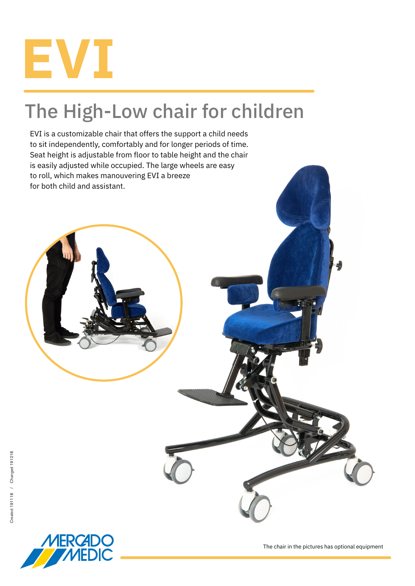

## The High-Low chair for children

EVI is a customizable chair that offers the support a child needs to sit independently, comfortably and for longer periods of time. Seat height is adjustable from floor to table height and the chair is easily adjusted while occupied. The large wheels are easy to roll, which makes manouvering EVI a breeze for both child and assistant.



The chair in the pictures has optional equipment